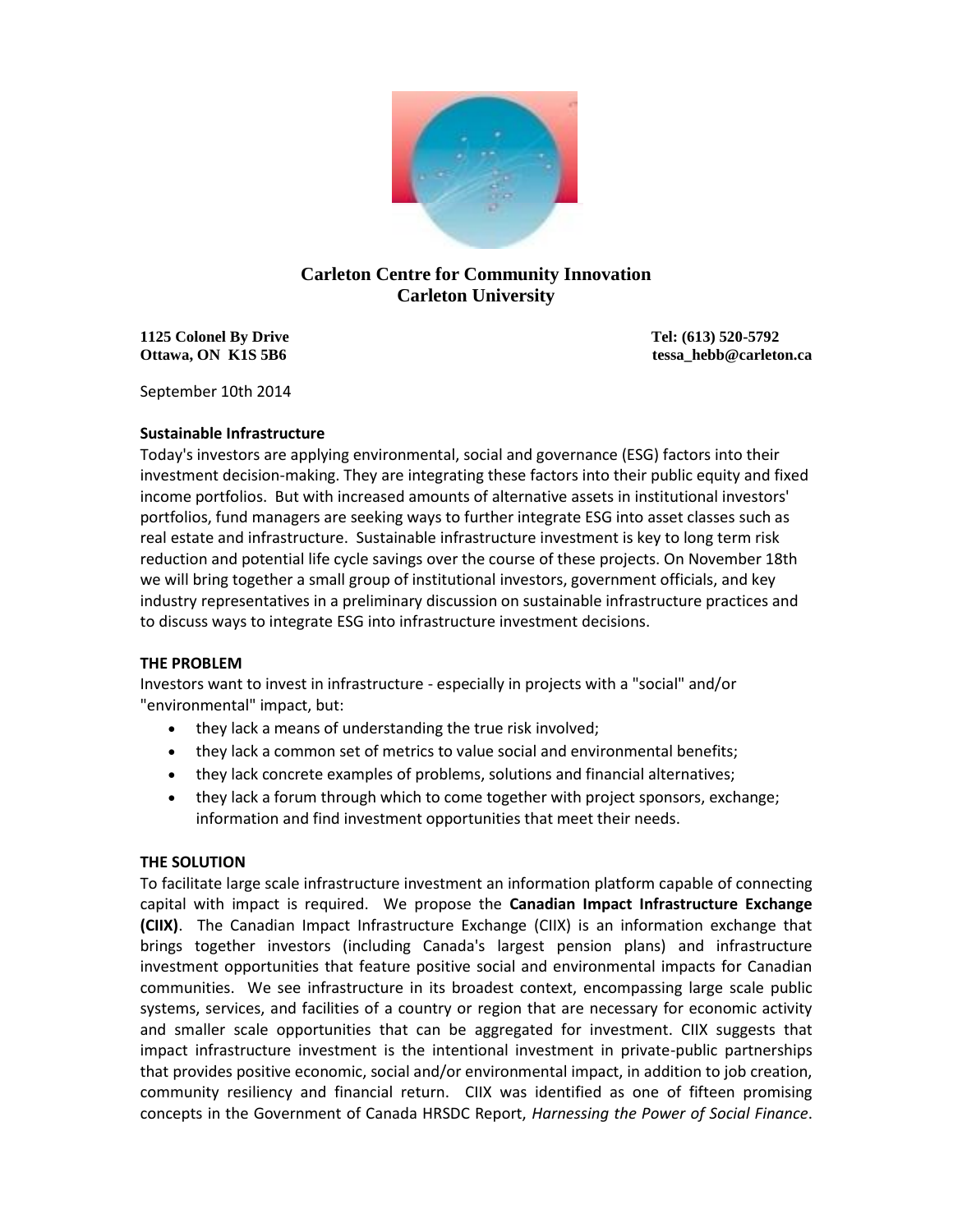

# **Carleton Centre for Community Innovation Carleton University**

**1125 Colonel By Drive Tel: (613) 520-5792**

**Ottawa, ON K1S 5B6** tessa\_hebb@carleton.ca

September 10th 2014

## **Sustainable Infrastructure**

Today's investors are applying environmental, social and governance (ESG) factors into their investment decision-making. They are integrating these factors into their public equity and fixed income portfolios. But with increased amounts of alternative assets in institutional investors' portfolios, fund managers are seeking ways to further integrate ESG into asset classes such as real estate and infrastructure. Sustainable infrastructure investment is key to long term risk reduction and potential life cycle savings over the course of these projects. On November 18th we will bring together a small group of institutional investors, government officials, and key industry representatives in a preliminary discussion on sustainable infrastructure practices and to discuss ways to integrate ESG into infrastructure investment decisions.

## **THE PROBLEM**

Investors want to invest in infrastructure - especially in projects with a "social" and/or "environmental" impact, but:

- they lack a means of understanding the true risk involved;
- they lack a common set of metrics to value social and environmental benefits;
- they lack concrete examples of problems, solutions and financial alternatives;
- they lack a forum through which to come together with project sponsors, exchange; information and find investment opportunities that meet their needs.

## **THE SOLUTION**

To facilitate large scale infrastructure investment an information platform capable of connecting capital with impact is required. We propose the **Canadian Impact Infrastructure Exchange (CIIX)**. The Canadian Impact Infrastructure Exchange (CIIX) is an information exchange that brings together investors (including Canada's largest pension plans) and infrastructure investment opportunities that feature positive social and environmental impacts for Canadian communities. We see infrastructure in its broadest context, encompassing large scale public systems, services, and facilities of a country or region that are necessary for economic activity and smaller scale opportunities that can be aggregated for investment. CIIX suggests that impact infrastructure investment is the intentional investment in private-public partnerships that provides positive economic, social and/or environmental impact, in addition to job creation, community resiliency and financial return. CIIX was identified as one of fifteen promising concepts in the Government of Canada HRSDC Report, *Harnessing the Power of Social Finance*.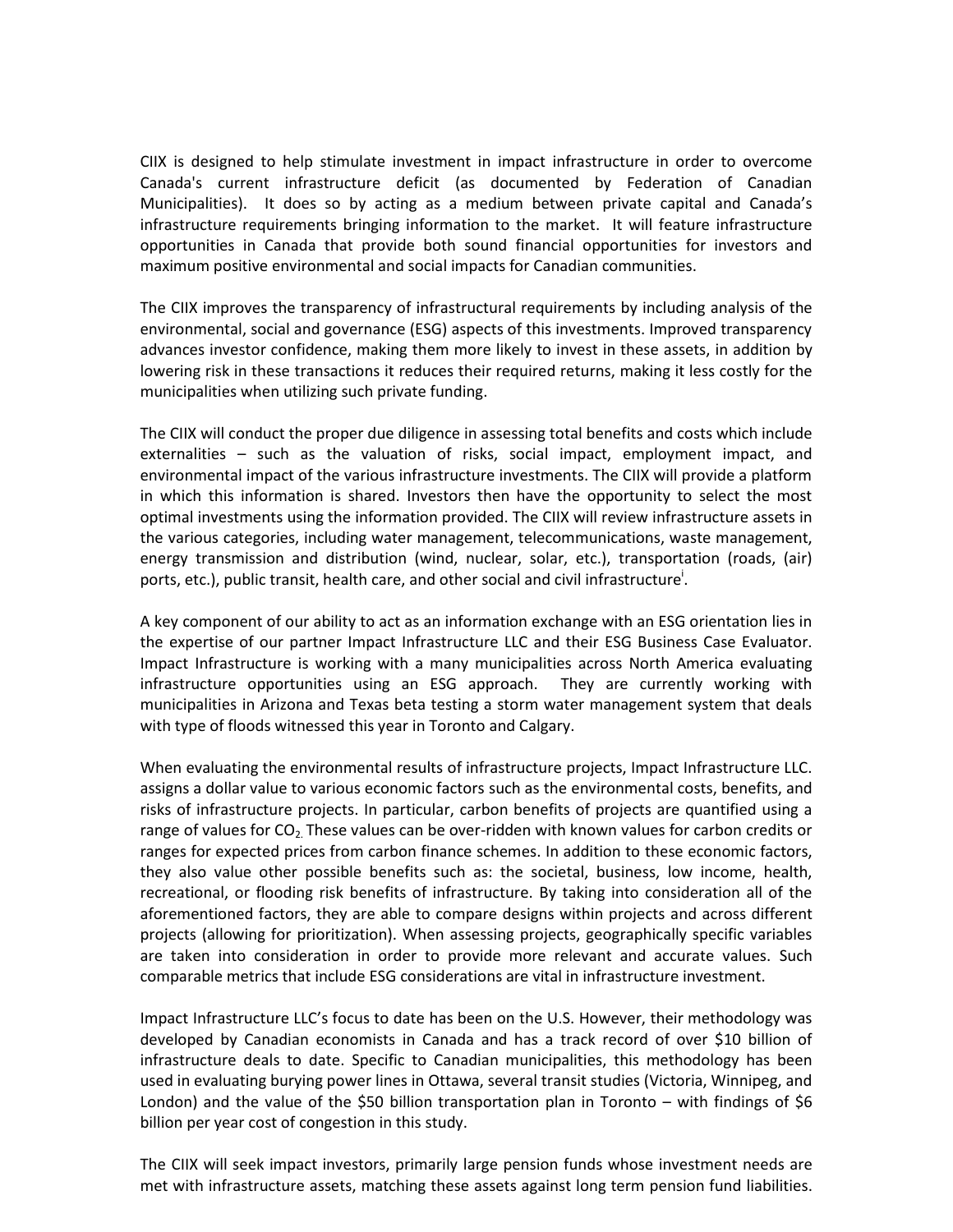CIIX is designed to help stimulate investment in impact infrastructure in order to overcome Canada's current infrastructure deficit (as documented by Federation of Canadian Municipalities). It does so by acting as a medium between private capital and Canada's infrastructure requirements bringing information to the market. It will feature infrastructure opportunities in Canada that provide both sound financial opportunities for investors and maximum positive environmental and social impacts for Canadian communities.

The CIIX improves the transparency of infrastructural requirements by including analysis of the environmental, social and governance (ESG) aspects of this investments. Improved transparency advances investor confidence, making them more likely to invest in these assets, in addition by lowering risk in these transactions it reduces their required returns, making it less costly for the municipalities when utilizing such private funding.

The CIIX will conduct the proper due diligence in assessing total benefits and costs which include externalities – such as the valuation of risks, social impact, employment impact, and environmental impact of the various infrastructure investments. The CIIX will provide a platform in which this information is shared. Investors then have the opportunity to select the most optimal investments using the information provided. The CIIX will review infrastructure assets in the various categories, including water management, telecommunications, waste management, energy transmission and distribution (wind, nuclear, solar, etc.), transportation (roads, (air) ports, etc.), public transit, health care, and other social and civil infrastructure<sup>i</sup>.

A key component of our ability to act as an information exchange with an ESG orientation lies in the expertise of our partner Impact Infrastructure LLC and their ESG Business Case Evaluator. Impact Infrastructure is working with a many municipalities across North America evaluating infrastructure opportunities using an ESG approach. They are currently working with municipalities in Arizona and Texas beta testing a storm water management system that deals with type of floods witnessed this year in Toronto and Calgary.

When evaluating the environmental results of infrastructure projects, Impact Infrastructure LLC. assigns a dollar value to various economic factors such as the environmental costs, benefits, and risks of infrastructure projects. In particular, carbon benefits of projects are quantified using a range of values for  $CO<sub>2</sub>$ . These values can be over-ridden with known values for carbon credits or ranges for expected prices from carbon finance schemes. In addition to these economic factors, they also value other possible benefits such as: the societal, business, low income, health, recreational, or flooding risk benefits of infrastructure. By taking into consideration all of the aforementioned factors, they are able to compare designs within projects and across different projects (allowing for prioritization). When assessing projects, geographically specific variables are taken into consideration in order to provide more relevant and accurate values. Such comparable metrics that include ESG considerations are vital in infrastructure investment.

Impact Infrastructure LLC's focus to date has been on the U.S. However, their methodology was developed by Canadian economists in Canada and has a track record of over \$10 billion of infrastructure deals to date. Specific to Canadian municipalities, this methodology has been used in evaluating burying power lines in Ottawa, several transit studies (Victoria, Winnipeg, and London) and the value of the \$50 billion transportation plan in Toronto – with findings of \$6 billion per year cost of congestion in this study.

The CIIX will seek impact investors, primarily large pension funds whose investment needs are met with infrastructure assets, matching these assets against long term pension fund liabilities.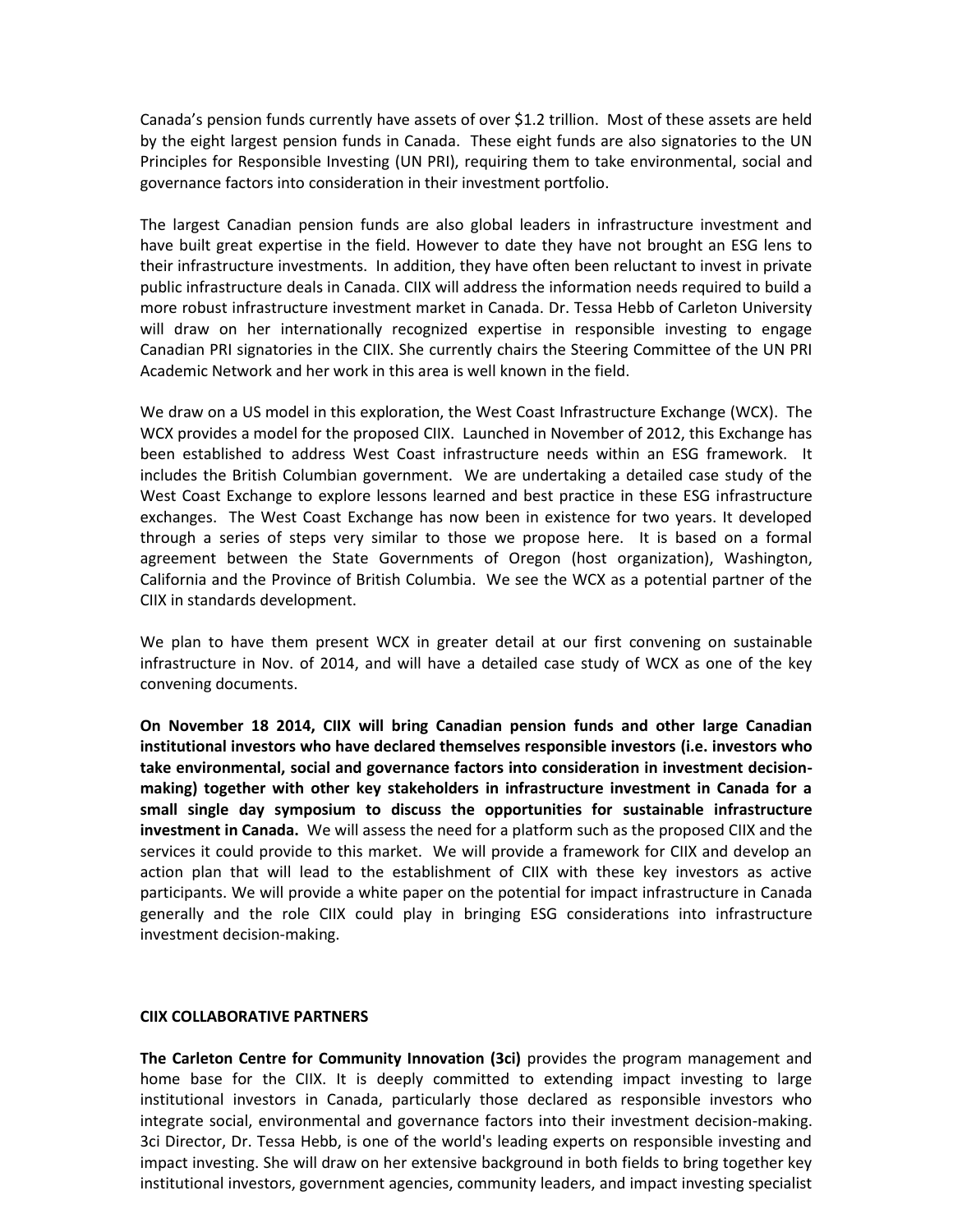Canada's pension funds currently have assets of over \$1.2 trillion. Most of these assets are held by the eight largest pension funds in Canada. These eight funds are also signatories to the UN Principles for Responsible Investing (UN PRI), requiring them to take environmental, social and governance factors into consideration in their investment portfolio.

The largest Canadian pension funds are also global leaders in infrastructure investment and have built great expertise in the field. However to date they have not brought an ESG lens to their infrastructure investments. In addition, they have often been reluctant to invest in private public infrastructure deals in Canada. CIIX will address the information needs required to build a more robust infrastructure investment market in Canada. Dr. Tessa Hebb of Carleton University will draw on her internationally recognized expertise in responsible investing to engage Canadian PRI signatories in the CIIX. She currently chairs the Steering Committee of the UN PRI Academic Network and her work in this area is well known in the field.

We draw on a US model in this exploration, the West Coast Infrastructure Exchange (WCX). The WCX provides a model for the proposed CIIX. Launched in November of 2012, this Exchange has been established to address West Coast infrastructure needs within an ESG framework. It includes the British Columbian government. We are undertaking a detailed case study of the West Coast Exchange to explore lessons learned and best practice in these ESG infrastructure exchanges. The West Coast Exchange has now been in existence for two years. It developed through a series of steps very similar to those we propose here. It is based on a formal agreement between the State Governments of Oregon (host organization), Washington, California and the Province of British Columbia. We see the WCX as a potential partner of the CIIX in standards development.

We plan to have them present WCX in greater detail at our first convening on sustainable infrastructure in Nov. of 2014, and will have a detailed case study of WCX as one of the key convening documents.

**On November 18 2014, CIIX will bring Canadian pension funds and other large Canadian institutional investors who have declared themselves responsible investors (i.e. investors who take environmental, social and governance factors into consideration in investment decisionmaking) together with other key stakeholders in infrastructure investment in Canada for a small single day symposium to discuss the opportunities for sustainable infrastructure investment in Canada.** We will assess the need for a platform such as the proposed CIIX and the services it could provide to this market. We will provide a framework for CIIX and develop an action plan that will lead to the establishment of CIIX with these key investors as active participants. We will provide a white paper on the potential for impact infrastructure in Canada generally and the role CIIX could play in bringing ESG considerations into infrastructure investment decision-making.

### **CIIX COLLABORATIVE PARTNERS**

**The Carleton Centre for Community Innovation (3ci)** provides the program management and home base for the CIIX. It is deeply committed to extending impact investing to large institutional investors in Canada, particularly those declared as responsible investors who integrate social, environmental and governance factors into their investment decision-making. 3ci Director, Dr. Tessa Hebb, is one of the world's leading experts on responsible investing and impact investing. She will draw on her extensive background in both fields to bring together key institutional investors, government agencies, community leaders, and impact investing specialist